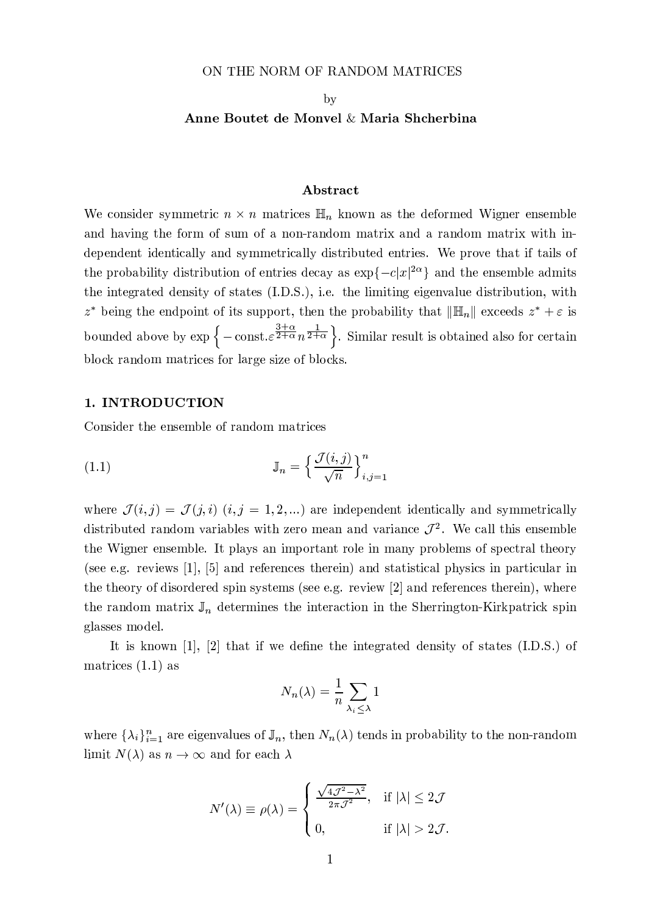#### ON THE NORM OF RANDOM MATRICES

#### by

## Anne Boutet de Monvel & Maria Shcherbina

#### Abstract

We consider symmetric  $n \times n$  matrices  $\mathbb{H}_n$  known as the deformed Wigner ensemble and having the form of sum of a non-random matrix and a random matrix with independent identically and symmetrically distributed entries. We prove that if tails of the probability distribution of entries decay as  $\exp\{-c|x|^{2\alpha}\}\$  and the ensemble admits the integrated density of states (I.D.S.), i.e. the limiting eigenvalue distribution, with  $z^*$  being the endpoint of its support, then the probability that  $\|\mathbb{H}_n\|$  exceeds  $z^* + \varepsilon$  is bounded above by  $\exp\left\{-\operatorname{const.}\varepsilon^{\frac{3+\alpha}{2+\alpha}}n^{\frac{1}{2+\alpha}}\right\}$ . Similar result is obtained also for certain block random matrices for large size of blocks.

## 1. INTRODUCTION

Consider the ensemble of random matrices

(1.1) 
$$
\mathbb{J}_n = \left\{ \frac{\mathcal{J}(i,j)}{\sqrt{n}} \right\}_{i,j=1}^n
$$

where  $\mathcal{J}(i,j) = \mathcal{J}(j,i)$   $(i, j = 1, 2, ...)$  are independent identically and symmetrically distributed random variables with zero mean and variance  $\mathcal{J}^2$ . We call this ensemble the Wigner ensemble. It plays an important role in many problems of spectral theory (see e.g. reviews  $[1]$ ,  $[5]$  and references therein) and statistical physics in particular in the theory of disordered spin systems (see e.g. review [2] and references therein), where the random matrix  $\mathbb{J}_n$  determines the interaction in the Sherrington-Kirkpatrick spin glasses model.

It is known  $[1]$ ,  $[2]$  that if we define the integrated density of states  $(I.D.S.)$  of matrices  $(1.1)$  as

$$
N_n(\lambda) = \frac{1}{n} \sum_{\lambda_i \leq \lambda} 1
$$

where  $\{\lambda_i\}_{i=1}^n$  are eigenvalues of  $\mathbb{J}_n$ , then  $N_n(\lambda)$  tends in probability to the non-random limit  $N(\lambda)$  as  $n \to \infty$  and for each  $\lambda$ 

$$
N'(\lambda) \equiv \rho(\lambda) = \begin{cases} \frac{\sqrt{4\mathcal{J}^2 - \lambda^2}}{2\pi \mathcal{J}^2}, & \text{if } |\lambda| \le 2\mathcal{J} \\ 0, & \text{if } |\lambda| > 2\mathcal{J}. \end{cases}
$$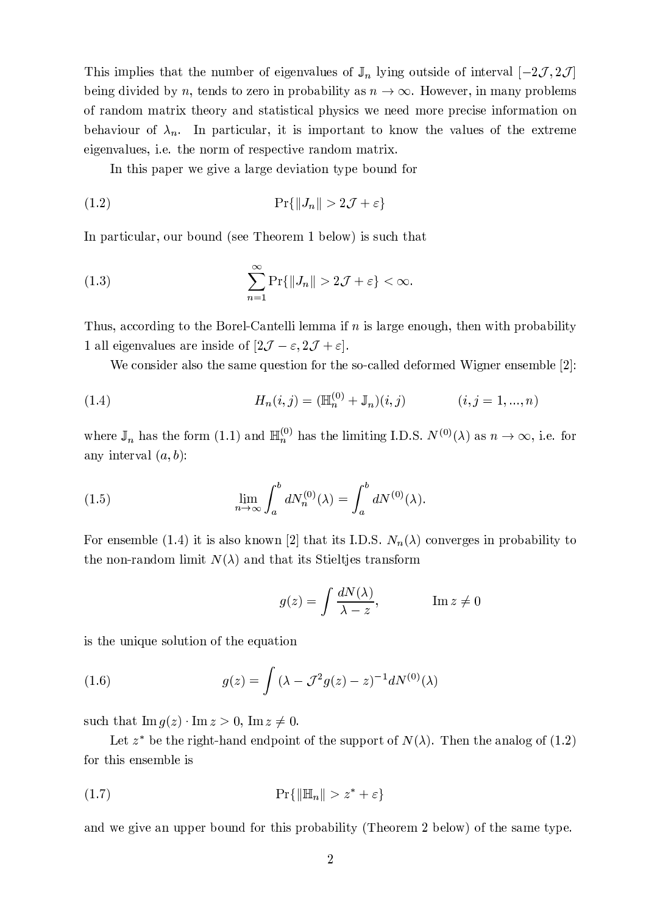This implies that the number of eigenvalues of  $\mathbb{J}_n$  lying outside of interval  $[-2\mathcal{J}, 2\mathcal{J}]$ being divided by n, tends to zero in probability as  $n \to \infty$ . However, in many problems of random matrix theory and statistical physics we need more precise information on behaviour of  $\lambda_n$ . In particular, it is important to know the values of the extreme eigenvalues, i.e. the norm of respective random matrix.

In this paper we give a large deviation type bound for

$$
(1.2)\t\t\t\t\t\Pr\{\|J_n\| > 2\mathcal{J} + \varepsilon\}
$$

In particular, our bound (see Theorem 1 below) is such that

(1.3) 
$$
\sum_{n=1}^{\infty} \Pr\{\|J_n\| > 2\mathcal{J} + \varepsilon\} < \infty
$$

Thus, according to the Borel-Cantelli lemma if n is large enough, then with probability 1 all eigenvalues are inside of  $[2\mathcal{J} - \varepsilon, 2\mathcal{J} + \varepsilon]$ .

We consider also the same question for the so-called deformed Wigner ensemble [2]:

(1.4) 
$$
H_n(i,j) = (\mathbb{H}_n^{(0)} + \mathbb{J}_n)(i,j) \qquad (i,j = 1,...,n)
$$

where  $\mathbb{J}_n$  has the form (1.1) and  $\mathbb{H}_n^{(0)}$  has the limiting I.D.S.  $N^{(0)}(\lambda)$  as  $n \to \infty$ , i.e. for any interval  $(a, b)$ :

(1.5) 
$$
\lim_{n \to \infty} \int_a^b dN_n^{(0)}(\lambda) = \int_a^b dN^{(0)}(\lambda).
$$

For ensemble (1.4) it is also known [2] that its I.D.S.  $N_n(\lambda)$  converges in probability to the non-random limit  $N(\lambda)$  and that its Stieltjes transform

$$
g(z) = \int \frac{dN(\lambda)}{\lambda - z}, \qquad \qquad \text{Im}\, z \neq 0
$$

is the unique solution of the equation

(1.6) 
$$
g(z) = \int (\lambda - \mathcal{J}^2 g(z) - z)^{-1} dN^{(0)}(\lambda)
$$

such that  $\text{Im } g(z) \cdot \text{Im } z > 0$ ,  $\text{Im } z \neq 0$ .

Let  $z^*$  be the right-hand endpoint of the support of  $N(\lambda)$ . Then the analog of (1.2) for this ensemble is

$$
\Pr\{\|\mathbb{H}_n\| > z^* + \varepsilon\}
$$

and we give an upper bound for this probability (Theorem 2 below) of the same type.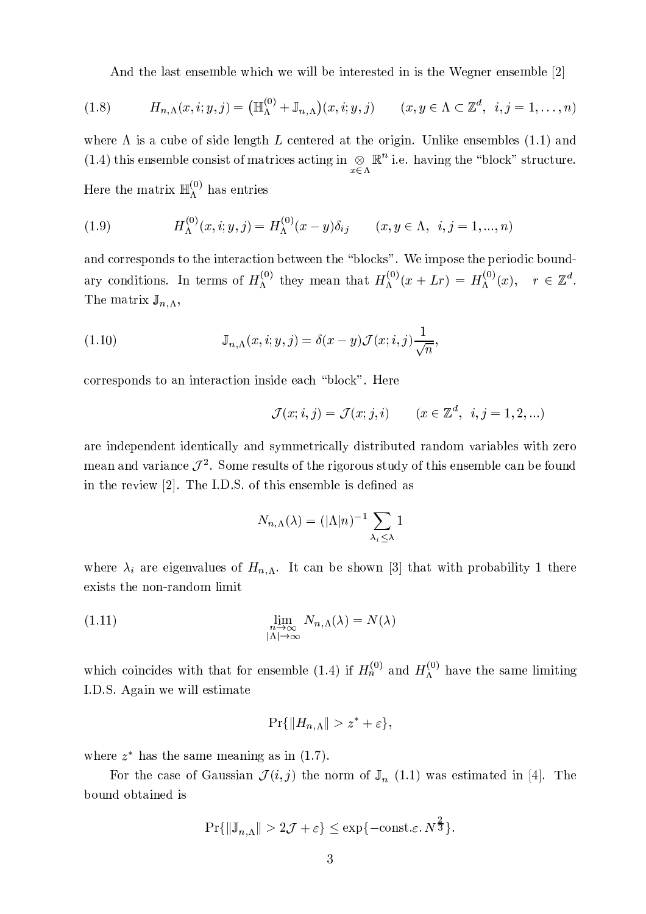And the last ensemble which we will be interested in is the Wegner ensemble [2]

(1.8) 
$$
H_{n,\Lambda}(x,i;y,j) = \left(\mathbb{H}_{\Lambda}^{(0)} + \mathbb{J}_{n,\Lambda}\right)(x,i;y,j) \qquad (x,y \in \Lambda \subset \mathbb{Z}^d, i,j = 1,\ldots,n)
$$

where  $\Lambda$  is a cube of side length L centered at the origin. Unlike ensembles (1.1) and (1.4) this ensemble consist of matrices acting in  $\underset{x \in \Lambda}{\otimes} \mathbb{R}^n$  i.e. having the "block" structure. Here the matrix  $\mathbb{H}_{\Lambda}^{(0)}$  has entries

(1.9) 
$$
H_{\Lambda}^{(0)}(x,i;y,j) = H_{\Lambda}^{(0)}(x-y)\delta_{ij} \qquad (x,y \in \Lambda, \ i,j = 1,...,n)
$$

and corresponds to the interaction between the "blocks". We impose the periodic boundary conditions. In terms of  $H_{\Lambda}^{(0)}$  they mean that  $H_{\Lambda}^{(0)}(x+Lr) = H_{\Lambda}^{(0)}(x), r \in \mathbb{Z}^{d}$ . The matrix  $\mathbb{J}_{n,\Lambda}$ ,

(1.10) 
$$
\mathbb{J}_{n,\Lambda}(x,i;y,j) = \delta(x-y)\mathcal{J}(x;i,j)\frac{1}{\sqrt{n}}
$$

corresponds to an interaction inside each "block". Here

$$
\mathcal{J}(x;i,j) = \mathcal{J}(x;j,i) \qquad (x \in \mathbb{Z}^d, \ i, j = 1,2,...)
$$

are independent identically and symmetrically distributed random variables with zero mean and variance  $\mathcal{J}^2$ . Some results of the rigorous study of this ensemble can be found in the review [2]. The I.D.S. of this ensemble is defined as

$$
N_{n,\Lambda}(\lambda) = (|\Lambda|n)^{-1} \sum_{\lambda_i \leq \lambda} 1
$$

where  $\lambda_i$  are eigenvalues of  $H_{n,\Lambda}$ . It can be shown [3] that with probability 1 there exists the non-random limit

(1.11) 
$$
\lim_{\substack{n \to \infty \\ |\Lambda| \to \infty}} N_{n,\Lambda}(\lambda) = N(\lambda)
$$

which coincides with that for ensemble (1.4) if  $H_n^{(0)}$  and  $H_{\Lambda}^{(0)}$  have the same limiting I.D.S. Again we will estimate

$$
\Pr\{\|H_{n,\Lambda}\| > z^* + \varepsilon\},\
$$

where  $z^*$  has the same meaning as in (1.7).

For the case of Gaussian  $\mathcal{J}(i, j)$  the norm of  $\mathbb{J}_n$  (1.1) was estimated in [4]. The bound obtained is

$$
\Pr\{\|\mathbb{J}_{n,\Lambda}\|>2\mathcal{J}+\varepsilon\}\leq \exp\{-\mathrm{const.}\varepsilon.\,N^{\frac{\varepsilon}{3}}\}.
$$

 $\Omega$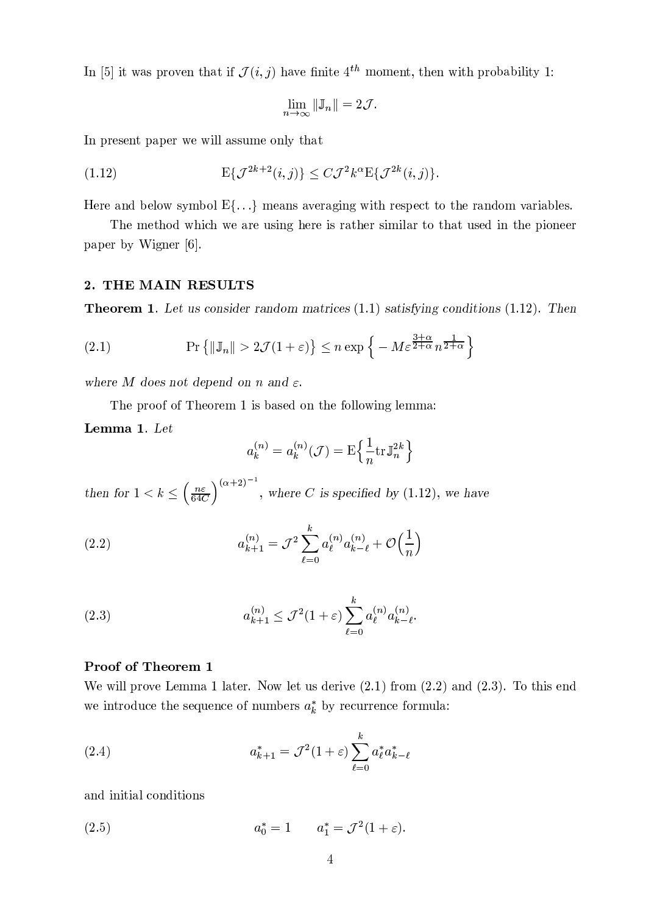In [5] it was proven that if  $\mathcal{J}(i, j)$  have finite 4<sup>th</sup> moment, then with probability 1:

$$
\lim_{n\to\infty} \|\mathbb{J}_n\| = 2\mathcal{J}
$$

In present paper we will assume only that

(1.12) 
$$
E\{\mathcal{J}^{2k+2}(i,j)\}\leq C\mathcal{J}^2k^{\alpha}E\{\mathcal{J}^{2k}(i,j)\}.
$$

Here and below symbol  $E\{\ldots\}$  means averaging with respect to the random variables.

The method which we are using here is rather similar to that used in the pioneer paper by Wigner [6].

# 2. THE MAIN RESULTS

**Theorem 1.** Let us consider random matrices  $(1.1)$  satisfying conditions  $(1.12)$ . Then

(2.1) 
$$
\Pr\left\{\|\mathbb{J}_n\| > 2\mathcal{J}(1+\varepsilon)\right\} \leq n \exp\left\{-M\varepsilon^{\frac{3+\alpha}{2+\alpha}}n^{\frac{1}{2+\alpha}}\right\}
$$

where M does not depend on n and  $\varepsilon$ .

The proof of Theorem 1 is based on the following lemma:

Lemma 1. Let

$$
a_k^{(n)} = a_k^{(n)}(\mathcal{J}) = \mathbf{E} \left\{ \frac{1}{n} \text{tr} \mathbb{J}_n^{2k} \right\}
$$

then for  $1 < k \leq (\frac{n\varepsilon}{64C})^{(\alpha+2)^{-1}}$ , where C is specified by (1.12), we have

(2.2) 
$$
a_{k+1}^{(n)} = \mathcal{J}^2 \sum_{\ell=0}^k a_{\ell}^{(n)} a_{k-\ell}^{(n)} + \mathcal{O}\left(\frac{1}{n}\right)
$$

(2.3) 
$$
a_{k+1}^{(n)} \leq \mathcal{J}^2 (1+\varepsilon) \sum_{\ell=0}^k a_{\ell}^{(n)} a_{k-\ell}^{(n)}.
$$

## Proof of Theorem 1

We will prove Lemma 1 later. Now let us derive  $(2.1)$  from  $(2.2)$  and  $(2.3)$ . To this end we introduce the sequence of numbers  $a_k^*$  by recurrence formula:

(2.4) 
$$
a_{k+1}^* = \mathcal{J}^2 (1+\varepsilon) \sum_{\ell=0}^k a_{\ell}^* a_{k-\ell}^*
$$

and initial conditions

(2.5) 
$$
a_0^* = 1 \qquad a_1^* = \mathcal{J}^2(1+\varepsilon)
$$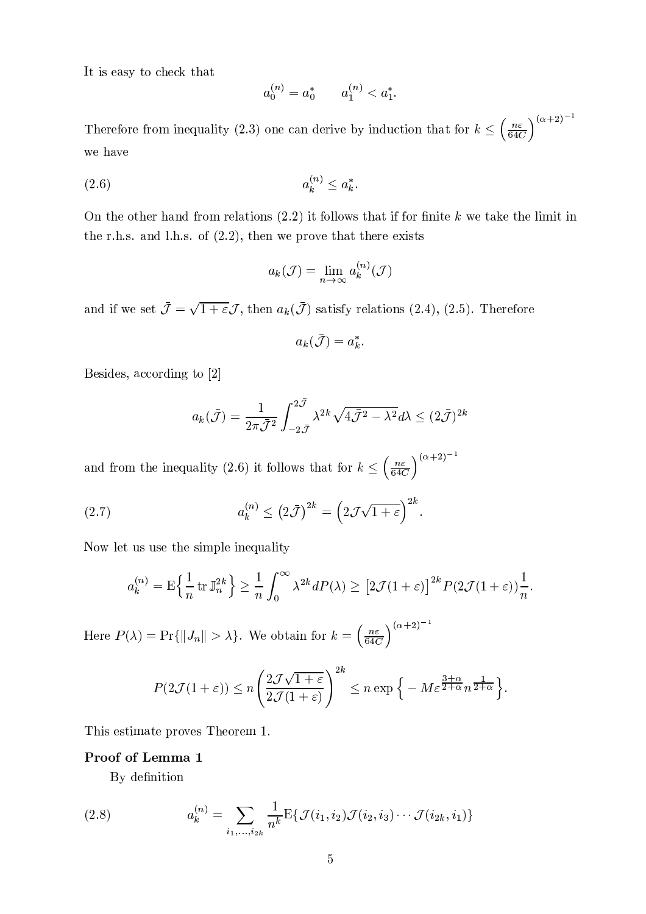It is easy to check that

$$
a_0^{(n)} = a_0^* \qquad a_1^{(n)} < a_1^*.
$$

Therefore from inequality (2.3) one can derive by induction that for  $k \leq \left(\frac{n\varepsilon}{64C}\right)^{(\alpha+2)^{-1}}$ we have

$$
(2.6) \qquad \qquad a_k^{(n)} \le a_k^*
$$

On the other hand from relations  $(2.2)$  it follows that if for finite k we take the limit in the r.h.s. and l.h.s. of  $(2.2)$ , then we prove that there exists

$$
a_k(\mathcal{J}) = \lim_{n \to \infty} a_k^{(n)}(\mathcal{J})
$$

and if we set  $\bar{\mathcal{J}} = \sqrt{1+\varepsilon}\mathcal{J}$ , then  $a_k(\bar{\mathcal{J}})$  satisfy relations (2.4), (2.5). Therefore

$$
a_k(\bar{\mathcal{J}})=a_k^*
$$

Besides, according to [2]

$$
a_k(\bar{\mathcal{J}}) = \frac{1}{2\pi \bar{\mathcal{J}}^2} \int_{-2\bar{\mathcal{J}}}^{2\bar{\mathcal{J}}} \lambda^{2k} \sqrt{4\bar{\mathcal{J}}^2 - \lambda^2} d\lambda \le (2\bar{\mathcal{J}})^{2k}
$$

and from the inequality (2.6) it follows that for  $k \leq \left(\frac{n\varepsilon}{64C}\right)^{(\alpha+2)^{-1}}$ 

(2.7) 
$$
a_k^{(n)} \leq (2\bar{\mathcal{J}})^{2k} = \left(2\mathcal{J}\sqrt{1+\varepsilon}\right)^{2k}.
$$

Now let us use the simple inequality

$$
a_k^{(n)} = \mathbf{E}\left\{\frac{1}{n}\operatorname{tr}\mathbb{J}_n^{2k}\right\} \ge \frac{1}{n}\int_0^\infty \lambda^{2k} dP(\lambda) \ge \left[2\mathcal{J}(1+\varepsilon)\right]^{2k} P(2\mathcal{J}(1+\varepsilon))\frac{1}{n}.
$$

Here  $P(\lambda) = \Pr\{\|J_n\| > \lambda\}$ . We obtain for  $k = \left(\frac{n\varepsilon}{64C}\right)^{(\alpha+2)^{-1}}$ 

$$
P(2\mathcal{J}(1+\varepsilon)) \le n \left( \frac{2\mathcal{J}\sqrt{1+\varepsilon}}{2\mathcal{J}(1+\varepsilon)} \right)^{2k} \le n \exp\Big\{-M\varepsilon^{\frac{3+\alpha}{2+\alpha}} n^{\frac{1}{2+\alpha}} \Big\}.
$$

This estimate proves Theorem 1.

## Proof of Lemma 1

By definition

(2.8) 
$$
a_k^{(n)} = \sum_{i_1,\dots,i_{2k}} \frac{1}{n^k} \mathrm{E} \{ \mathcal{J}(i_1,i_2) \mathcal{J}(i_2,i_3) \cdots \mathcal{J}(i_{2k},i_1) \}
$$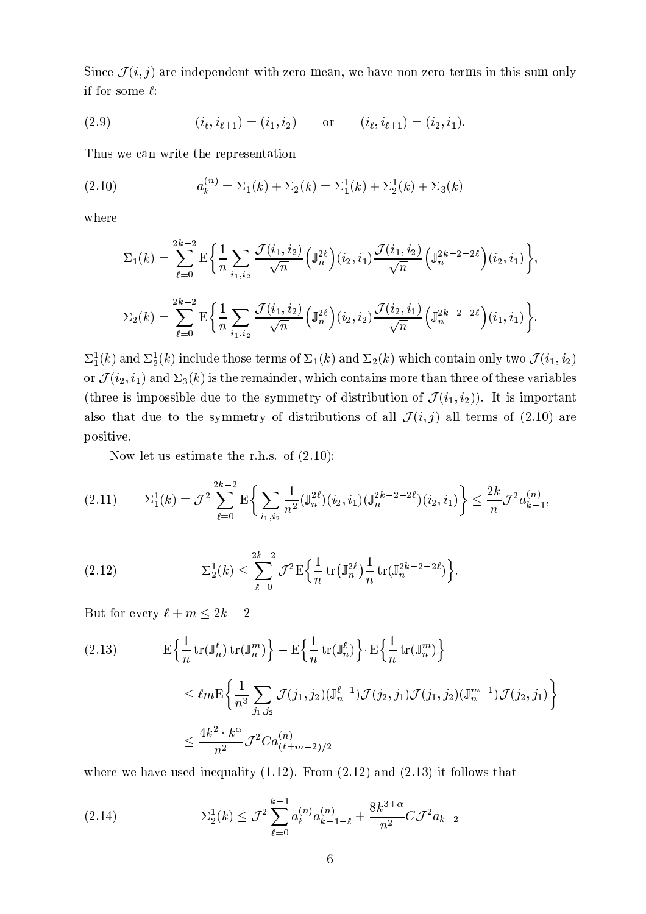Since  $\mathcal{J}(i, j)$  are inde  $\ell$  and induced at the contract of the contract of the contract of the contract of the contract of the contract of the contract of the contract of the contract of the contract of the contract of the contract of the contr if for some  $\ell$ :

(2.9) 
$$
(i_{\ell}, i_{\ell+1}) = (i_1, i_2)
$$
 or  $(i_{\ell}, i_{\ell+1}) = (i_2, i_1).$ 

Thus we can write the representation

(2.10) 
$$
a_k^{(n)} = \Sigma_1(k) + \Sigma_2(k) = \Sigma_1^1(k) + \Sigma_2^1(k) + \Sigma_3(k)
$$

where

$$
\Sigma_1(k) = \sum_{\ell=0}^{2k-2} \mathbf{E} \bigg\{ \frac{1}{n} \sum_{i_1, i_2} \frac{\mathcal{J}(i_1, i_2)}{\sqrt{n}} \Big( \mathbb{J}_n^{2\ell} \Big) (i_2, i_1) \frac{\mathcal{J}(i_1, i_2)}{\sqrt{n}} \Big( \mathbb{J}_n^{2k-2-2\ell} \Big) (i_2, i_1) \bigg\},
$$
  

$$
\Sigma_2(k) = \sum_{\ell=0}^{2k-2} \mathbf{E} \bigg\{ \frac{1}{n} \sum_{i_1, i_2} \frac{\mathcal{J}(i_1, i_2)}{\sqrt{n}} \Big( \mathbb{J}_n^{2\ell} \Big) (i_2, i_2) \frac{\mathcal{J}(i_2, i_1)}{\sqrt{n}} \Big( \mathbb{J}_n^{2k-2-2\ell} \Big) (i_1, i_1) \bigg\}.
$$

 $\Sigma^{\texttt{1}}_1(k)$  and  $\Sigma$  $(k)$  and  $\Sigma_2^1(k)$  include those terms of  $\Sigma_1(k)$  and  $\Sigma_2$  $(k)$  and  $\Sigma_2(k)$  which contain only two  $\mathcal{I}(i_1, i_2)$  $\mathcal{J}(i_1, i_2)$  $\eta_{\Omega}$ or  $\mathcal{J}(i_2,i_1)$  and  $\Sigma_2$  $(i_2, i_1)$  ar  $\lambda$  -production - particles are production and production production production of the production of the production of the production of the production of the production of the production of the production of the product (three is impossible due to the symmetry of distribution of  $\mathcal{J}(i_1,i_2)$ ). It is  $\sqrt{2}$  $(i_2)$ ). It is important a is the state of the signal point  $\Lambda$  . The signal point  $\Lambda$  is the signal point  $\Lambda$ ´  $\mathcal{L}$  and  $\mathcal{L}$  and  $\mathcal{L}$  and  $\mathcal{L}$  are a symplectic intervals of a symplectic intervals of  $\mathcal{L}$ positive.

P-g oMJ\sUTMQT\]V[ba\]M-\]iUM Yq i3 TQPSju¾DX° ä 

$$
(2.11) \qquad \Sigma_1^1(k) = \mathcal{J}^2 \sum_{\ell=0}^{2k-2} \mathbf{E} \bigg\{ \sum_{i_1,i_2} \frac{1}{n^2} (\mathbb{J}_n^{2\ell})(i_2,i_1) (\mathbb{J}_n^{2k-2-2\ell})(i_2,i_1) \bigg\} \le \frac{2k}{n} \mathcal{J}^2 a_{k-1}^{(n)},
$$

(2.12) 
$$
\Sigma_2^1(k) \leq \sum_{\ell=0}^{2k-2} \mathcal{J}^2 \mathbf{E} \Big\{ \frac{1}{n} \operatorname{tr}(\mathbb{J}_n^{2\ell}) \frac{1}{n} \operatorname{tr}(\mathbb{J}_n^{2k-2-2\ell}) \Big\}.
$$

 $\mathbf{D} \perp \mathbf{C}$  is  $\ell \perp \mathbf{C}$  and  $\mathbf{D} \perp \mathbf{C}$ 

(2.13) 
$$
E\left\{\frac{1}{n}\operatorname{tr}(\mathbb{J}_{n}^{\ell})\operatorname{tr}(\mathbb{J}_{n}^{m})\right\} - E\left\{\frac{1}{n}\operatorname{tr}(\mathbb{J}_{n}^{\ell})\right\} \cdot E\left\{\frac{1}{n}\operatorname{tr}(\mathbb{J}_{n}^{m})\right\}
$$

$$
\leq \ell_{2m} E\int 1 \sum \mathcal{I}(i - i_{n}) (\mathbb{J}_{n}^{\ell-1}) \mathcal{I}(i_{n} - i_{n}) \mathcal{I}(i - i_{n}) (\mathbb{J}_{n}^{m-1}) \mathcal{I}(i_{n} - i_{n})
$$

$$
\leq \ell m \mathcal{E} \bigg\{ \frac{1}{n^3} \sum_{j_1, j_2} \mathcal{J}(j_1, j_2) (\mathbb{J}_n^{\ell-1}) \mathcal{J}(j_2, j_1) \mathcal{J}(j_1, j_2) (\mathbb{J}_n^{m-1}) \mathcal{J}(j_2, j_1) \bigg\} \n\leq \frac{4k^2 \cdot k^{\alpha}}{n^2} \mathcal{J}^2 C a_{(\ell+m-2)/2}^{(n)}
$$

 $\mathcal{M}$  is the same of the same of the same of the same of the same of the same of the same of the same of the same of the same of the same of the same of the same of the same of the same of the same of the same of the s

(2.14) 
$$
\Sigma_2^1(k) \leq \mathcal{J}^2 \sum_{\ell=0}^{k-1} a_{\ell}^{(n)} a_{k-1-\ell}^{(n)} + \frac{8k^{3+\alpha}}{n^2} C \mathcal{J}^2 a_{k-2}
$$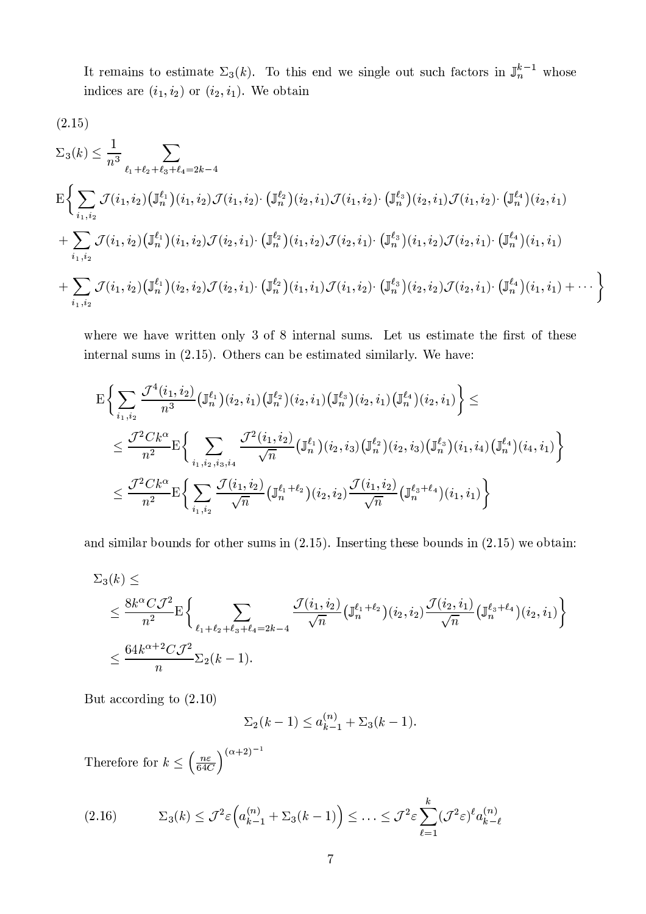It remains to estimate  $\Sigma_{\varepsilon}(k)$  . To this and we single out such factors in  $\mathbb{I}^{k-1}$  whose VXRUWUVXOQMQT aY]MbGµ  $[i_2]$  or  $(i_2, i_1)$ . 8LNMP\ aVXR

$$
(2.15)
$$

$$
\Sigma_{3}(k) \leq \frac{1}{n^{3}} \sum_{\ell_{1}+\ell_{2}+\ell_{3}+\ell_{4}=2k-4}
$$
\n
$$
E\Biggl\{\sum_{i_{1},i_{2}}\mathcal{J}(i_{1},i_{2})\left(\mathbb{J}_{n}^{\ell_{1}}\right)(i_{1},i_{2})\mathcal{J}(i_{1},i_{2})\cdot\left(\mathbb{J}_{n}^{\ell_{2}}\right)(i_{2},i_{1})\mathcal{J}(i_{1},i_{2})\cdot\left(\mathbb{J}_{n}^{\ell_{3}}\right)(i_{2},i_{1})\mathcal{J}(i_{1},i_{2})\cdot\left(\mathbb{J}_{n}^{\ell_{4}}\right)(i_{2},i_{1})
$$
\n
$$
+\sum_{i_{1},i_{2}}\mathcal{J}(i_{1},i_{2})\left(\mathbb{J}_{n}^{\ell_{1}}\right)(i_{1},i_{2})\mathcal{J}(i_{2},i_{1})\cdot\left(\mathbb{J}_{n}^{\ell_{2}}\right)(i_{1},i_{2})\mathcal{J}(i_{2},i_{1})\cdot\left(\mathbb{J}_{n}^{\ell_{3}}\right)(i_{1},i_{2})\mathcal{J}(i_{2},i_{1})\cdot\left(\mathbb{J}_{n}^{\ell_{4}}\right)(i_{1},i_{1})
$$
\n
$$
+\sum_{i_{1},i_{2}}\mathcal{J}(i_{1},i_{2})\left(\mathbb{J}_{n}^{\ell_{1}}\right)(i_{2},i_{2})\mathcal{J}(i_{2},i_{1})\cdot\left(\mathbb{J}_{n}^{\ell_{2}}\right)(i_{1},i_{1})\mathcal{J}(i_{1},i_{2})\cdot\left(\mathbb{J}_{n}^{\ell_{3}}\right)(i_{2},i_{2})\mathcal{J}(i_{2},i_{1})\cdot\left(\mathbb{J}_{n}^{\ell_{4}}\right)(i_{1},i_{1})+\cdots\Biggr\}
$$

where we have written only 3 of 8 internal sums. Let us estimate the first of these  $\mathcal{M}\subset \mathcal{M}$  are the subset of the matrix  $\mathcal{M}$  are the matrix of the matrix of  $\mathcal{M}$  of  $\mathcal{M}$ 

$$
E\Big\{\sum_{i_1,i_2}\frac{\mathcal{J}^4(i_1,i_2)}{n^3}\big(\mathbb{J}_n^{\ell_1}\big)(i_2,i_1)\big(\mathbb{J}_n^{\ell_2}\big)(i_2,i_1)\big(\mathbb{J}_n^{\ell_3}\big)(i_2,i_1)\big(\mathbb{J}_n^{\ell_4}\big)(i_2,i_1)\Big\}\le
$$
  
\$\leq \frac{\mathcal{J}^2Ck^{\alpha}}{n^2}\mathbb{E}\Big\{\sum\_{i\_1,i\_2,i\_3,i\_4}\frac{\mathcal{J}^2(i\_1,i\_2)}{\sqrt{n}}\big(\mathbb{J}\_n^{\ell\_1}\big)(i\_2,i\_3)\big(\mathbb{J}\_n^{\ell\_2}\big)(i\_2,i\_3)\big(\mathbb{J}\_n^{\ell\_3}\big)(i\_1,i\_4)\big(\mathbb{J}\_n^{\ell\_4}\big)(i\_4,i\_1)\Big\}\$  
\$\leq \frac{\mathcal{J}^2Ck^{\alpha}}{n^2}\mathbb{E}\Big\{\sum\_{i\_1,i\_2}\frac{\mathcal{J}(i\_1,i\_2)}{\sqrt{n}}\big(\mathbb{J}\_n^{\ell\_1+\ell\_2}\big)(i\_2,i\_2)\frac{\mathcal{J}(i\_1,i\_2)}{\sqrt{n}}\big(\mathbb{J}\_n^{\ell\_3+\ell\_4}\big)(i\_1,i\_1)\Big\}\$

aruw/Tvixramiwutiya/iumiytsitetiinii/aruuwutjka/aruuwutiya/aruuwutiya/aruuwutiya/iumiytsitetiinii/kataa kataa

$$
\Sigma_3(k) \le
$$
\n
$$
\le \frac{8k^{\alpha}C\mathcal{J}^2}{n^2} \mathcal{E}\Biggl\{\sum_{\ell_1+\ell_2+\ell_3+\ell_4=2k-4} \frac{\mathcal{J}(i_1,i_2)}{\sqrt{n}} \biggl(\mathbb{J}_n^{\ell_1+\ell_2}\biggr)(i_2,i_2) \frac{\mathcal{J}(i_2,i_1)}{\sqrt{n}} \biggl(\mathbb{J}_n^{\ell_3+\ell_4}\biggr)(i_2,i_1)\Biggr\}
$$
\n
$$
\le \frac{64k^{\alpha+2}C\mathcal{J}^2}{n} \Sigma_2(k-1).
$$

s6\ aOQOQPKY]WUVXRUnZ\]PÈu¾DX° ä

$$
\Sigma_2(k-1) \le a_{k-1}^{(n)} + \Sigma_3(k-1).
$$

Therefore for  $k < (\frac{n\varepsilon}{\sqrt{n}})^{(\alpha+2)^{-1}}$ 

$$
(2.16) \qquad \Sigma_3(k) \le \mathcal{J}^2 \varepsilon \left( a_{k-1}^{(n)} + \Sigma_3(k-1) \right) \le \ldots \le \mathcal{J}^2 \varepsilon \sum_{\ell=1}^k (\mathcal{J}^2 \varepsilon)^{\ell} a_{k-\ell}^{(n)}
$$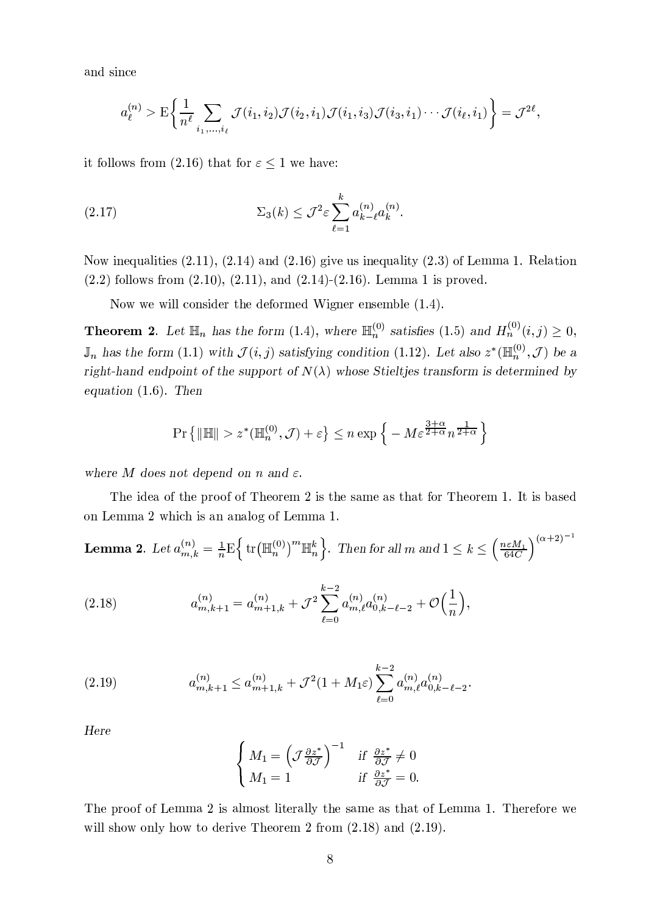and since

$$
a_{\ell}^{(n)} > \mathcal{E}\bigg\{\frac{1}{n^{\ell}}\sum_{i_1,\ldots,i_{\ell}}\mathcal{J}(i_1,i_2)\mathcal{J}(i_2,i_1)\mathcal{J}(i_1,i_3)\mathcal{J}(i_3,i_1)\cdots\mathcal{J}(i_{\ell},i_1)\bigg\} = \mathcal{J}^{2\ell},
$$

it follows from (2.16) that for  $\varepsilon \leq 1$  we have:

(2.17) 
$$
\Sigma_3(k) \leq \mathcal{J}^2 \varepsilon \sum_{\ell=1}^k a_{k-\ell}^{(n)} a_k^{(n)}
$$

Now inequalities  $(2.11)$ ,  $(2.14)$  and  $(2.16)$  give us inequality  $(2.3)$  of Lemma 1. Relation  $(2.2)$  follows from  $(2.10)$ ,  $(2.11)$ , and  $(2.14)$ - $(2.16)$ . Lemma 1 is proved.

Now we will consider the deformed Wigner ensemble  $(1.4)$ .

**Theorem 2.** Let  $\mathbb{H}_n$  has the form (1.4), where  $\mathbb{H}_n^{(0)}$  satisfies (1.5) and  $H_n^{(0)}(i,j) \geq 0$ ,  $\mathbb{J}_n$  has the form (1.1) with  $\mathcal{J}(i, j)$  satisfying condition (1.12). Let also  $z^* (\mathbb{H}_n^{(0)}, \mathcal{J})$  be a right-hand endpoint of the support of  $N(\lambda)$  whose Stieltjes transform is determined by equation  $(1.6)$ . Then

$$
\Pr\left\{ \|\mathbb{H}\| > z^* (\mathbb{H}_n^{(0)}, \mathcal{J}) + \varepsilon \right\} \le n \exp\left\{ -M \varepsilon^{\frac{3+\alpha}{2+\alpha}} n^{\frac{1}{2+\alpha}} \right\}
$$

where M does not depend on n and  $\varepsilon$ .

The idea of the proof of Theorem 2 is the same as that for Theorem 1. It is based on Lemma 2 which is an analog of Lemma 1.

**Lemma 2.** Let  $a_{m,k}^{(n)} = \frac{1}{n} \mathbb{E} \left\{ \text{tr} \left( \mathbb{H}_n^{(0)} \right)^m \mathbb{H}_n^k \right\}$ . Then for all m and  $1 \leq k \leq \left( \frac{n \epsilon M_1}{64C} \right)^{(\alpha+2)^{-1}}$ 

(2.18) 
$$
a_{m,k+1}^{(n)} = a_{m+1,k}^{(n)} + \mathcal{J}^2 \sum_{\ell=0}^{k-2} a_{m,\ell}^{(n)} a_{0,k-\ell-2}^{(n)} + \mathcal{O}\Big(\frac{1}{n}\Big),
$$

(2.19) 
$$
a_{m,k+1}^{(n)} \le a_{m+1,k}^{(n)} + \mathcal{J}^2 (1 + M_1 \varepsilon) \sum_{\ell=0}^{k-2} a_{m,\ell}^{(n)} a_{0,k-\ell-2}^{(n)}
$$

Here

$$
\begin{cases}\nM_1 = \left(\mathcal{J}\frac{\partial z^*}{\partial \mathcal{J}}\right)^{-1} & \text{if } \frac{\partial z^*}{\partial \mathcal{J}} \neq 0 \\
M_1 = 1 & \text{if } \frac{\partial z^*}{\partial \mathcal{J}} = 0.\n\end{cases}
$$

The proof of Lemma 2 is almost literally the same as that of Lemma 1. Therefore we will show only how to derive Theorem 2 from  $(2.18)$  and  $(2.19)$ .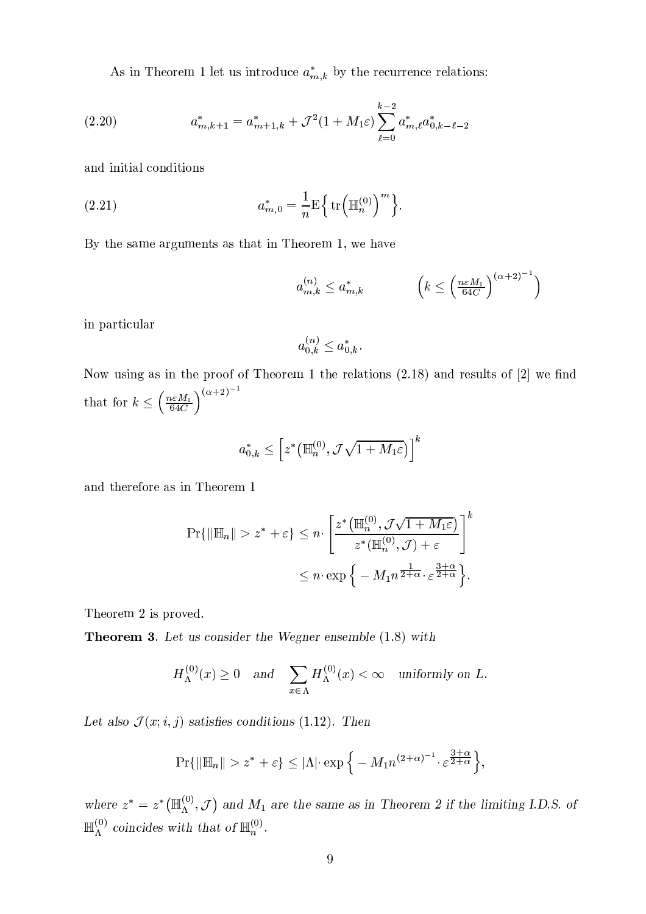As in Theorem 1 let us introduce  $a_{m,k}^*$  by the recurrence relations:

(2.20) 
$$
a_{m,k+1}^{*} = a_{m+1,k}^{*} + \mathcal{J}^{2}(1+M_{1}\varepsilon) \sum_{\ell=0}^{k-2} a_{m,\ell}^{*} a_{0,k-\ell-2}^{*}
$$

and initial conditions

(2.21) 
$$
a_{m,0}^* = \frac{1}{n} \mathrm{E} \left\{ \mathrm{tr} \left( \mathbb{H}_n^{(0)} \right)^m \right\}
$$

By the same arguments as that in Theorem 1, we have

$$
a_{m,k}^{(n)} \le a_{m,k}^* \qquad \left(k \le \left(\frac{n\varepsilon M_1}{64C}\right)^{(\alpha+2)^{-1}}\right)
$$

in particular

$$
a_{0,k}^{(n)} \le a_{0,k}^*.
$$

Now using as in the proof of Theorem 1 the relations  $(2.18)$  and results of  $[2]$  we find that for  $k \leq \left(\frac{n \varepsilon M_1}{64C}\right)^{(\alpha+2)^{-1}}$ 

$$
a_{0,k}^*\leq \left[z^*\left(\mathbb{H}_n^{(0)},\mathcal{J}\sqrt{1+M_1\varepsilon}\right)\right]^k
$$

and therefore as in Theorem 1

$$
\Pr\{\|\mathbb{H}_n\| > z^* + \varepsilon\} \le n \cdot \left[ \frac{z^* \left(\mathbb{H}_n^{(0)}, \mathcal{J}\sqrt{1+M_1\varepsilon}\right)}{z^* (\mathbb{H}_n^{(0)}, \mathcal{J}) + \varepsilon} \right]^k
$$
  

$$
\le n \cdot \exp\left\{-M_1 n^{\frac{1}{2+\alpha}} \cdot \varepsilon^{\frac{3+\alpha}{2+\alpha}}\right\}.
$$

Theorem 2 is proved.

**Theorem 3.** Let us consider the Wegner ensemble (1.8) with

$$
H_{\Lambda}^{(0)}(x) \ge 0 \quad \text{and} \quad \sum_{x \in \Lambda} H_{\Lambda}^{(0)}(x) < \infty \quad \text{uniformly on } L.
$$

Let also  $\mathcal{J}(x; i, j)$  satisfies conditions (1.12). Then

$$
\Pr\{\|\mathbb{H}_n\| > z^* + \varepsilon\} \le |\Lambda| \cdot \exp\left\{-M_1 n^{(2+\alpha)^{-1}} \cdot \varepsilon^{\frac{3+\alpha}{2+\alpha}}\right\}
$$

where  $z^* = z^* (\mathbb{H}_{\Lambda}^{(0)}, \mathcal{J})$  and  $M_1$  are the same as in Theorem 2 if the limiting I.D.S. of  $\mathbb{H}_{\Lambda}^{(0)}$  coincides with that of  $\mathbb{H}_{n}^{(0)}$ .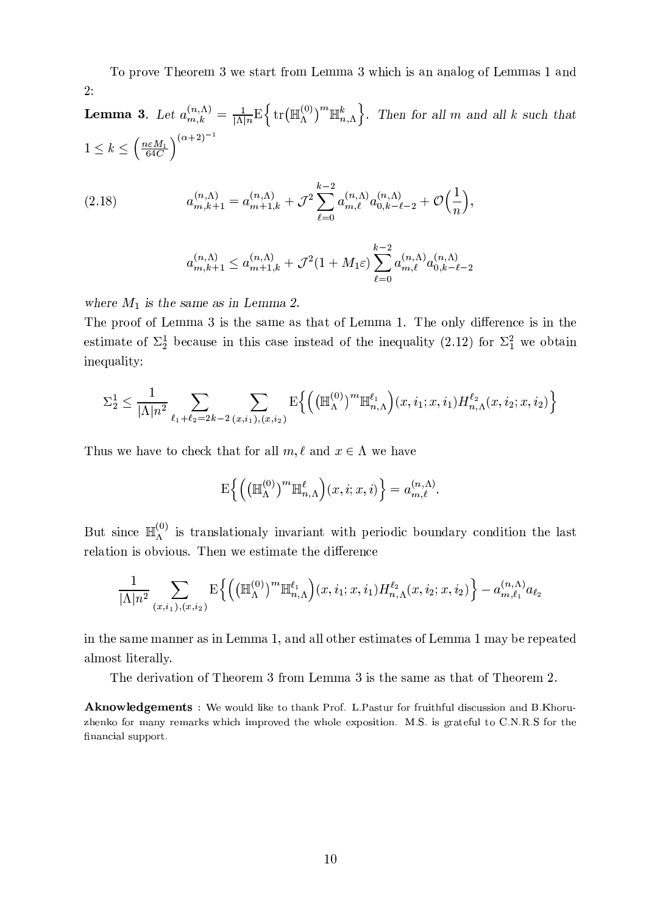To prove Theorem 3 we start from Lemma 3 which is an analog of Lemmas 1 and  $2:$ 

**Lemma 3.** Let  $a_{m,k}^{(n,\Lambda)} = \frac{1}{|\Lambda|_n} E\left\{ \text{tr}(\mathbb{H}_{\Lambda}^{(0)})^m \mathbb{H}_{n,\Lambda}^k \right\}$ . Then for all m and all k such that  $1 \leq k \leq \left(\frac{n\varepsilon M_1}{64C}\right)^{(\alpha+2)^{-1}}$ 

(2.18) 
$$
a_{m,k+1}^{(n,\Lambda)} = a_{m+1,k}^{(n,\Lambda)} + \mathcal{J}^2 \sum_{\ell=0}^{k-2} a_{m,\ell}^{(n,\Lambda)} a_{0,k-\ell-2}^{(n,\Lambda)} + \mathcal{O}\left(\frac{1}{n}\right),
$$

$$
a_{m,k+1}^{(n,\Lambda)} \le a_{m+1,k}^{(n,\Lambda)} + \mathcal{J}^2(1+M_1\varepsilon) \sum_{\ell=0}^{k-2} a_{m,\ell}^{(n,\Lambda)} a_{0,k-\ell-2}^{(n,\Lambda)}
$$

where  $M_1$  is the same as in Lemma 2.

The proof of Lemma 3 is the same as that of Lemma 1. The only difference is in the estimate of  $\Sigma_2^1$  because in this case instead of the inequality (2.12) for  $\Sigma_1^2$  we obtain inequality:

$$
\Sigma_2^1 \le \frac{1}{|\Lambda| n^2} \sum_{\ell_1 + \ell_2 = 2k - 2} \sum_{(x, i_1), (x, i_2)} \mathrm{E}\left\{ \left( \left( \mathbb{H}_{\Lambda}^{(0)} \right)^m \mathbb{H}_{n, \Lambda}^{\ell_1} \right) (x, i_1; x, i_1) H_{n, \Lambda}^{\ell_2} (x, i_2; x, i_2) \right\}
$$

Thus we have to check that for all  $m, \ell$  and  $x \in \Lambda$  we have

$$
\mathrm{E}\Big\{\Big(\big(\mathbb{H}_{\Lambda}^{(0)}\big)^m\mathbb{H}_{n,\Lambda}^{\ell}\Big)(x,i;x,i)\Big\} = a_{m,\ell}^{(n,\Lambda)}.
$$

But since  $\mathbb{H}_{\Lambda}^{(0)}$  is translationaly invariant with periodic boundary condition the last relation is obvious. Then we estimate the difference

$$
\frac{1}{|\Lambda|n^2} \sum_{(x,i_1),(x,i_2)} \mathrm{E}\Big\{ \Big( \big(\mathbb{H}_{\Lambda}^{(0)} \big)^m \mathbb{H}_{n,\Lambda}^{\ell_1} \Big) (x,i_1;x,i_1) H_{n,\Lambda}^{\ell_2}(x,i_2;x,i_2) \Big\} - a_{m,\ell_1}^{(n,\Lambda)} a_{\ell_2}
$$

in the same manner as in Lemma 1, and all other estimates of Lemma 1 may be repeated almost literally.

The derivation of Theorem 3 from Lemma 3 is the same as that of Theorem 2.

**Aknowledgements**: We would like to thank Prof. L.Pastur for fruithful discussion and B.Khoruzhenko for many remarks which improved the whole exposition. M.S. is grateful to C.N.R.S for the financial support.